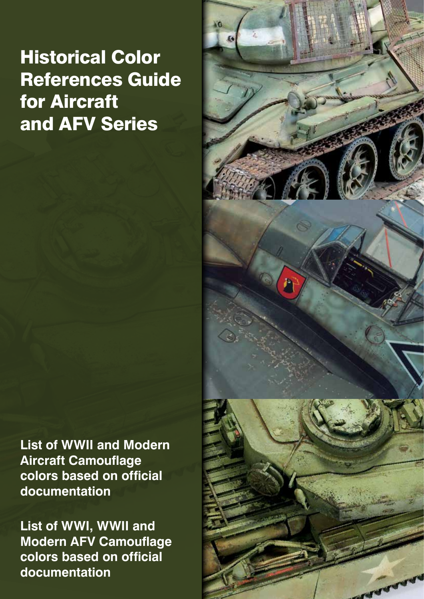# Historical Color References Guide for Aircraft and AFV Series

**List of WWII and Modern Aircraft Camouflage colors based on official documentation**

**List of WWI, WWII and Modern AFV Camouflage colors based on official documentation**

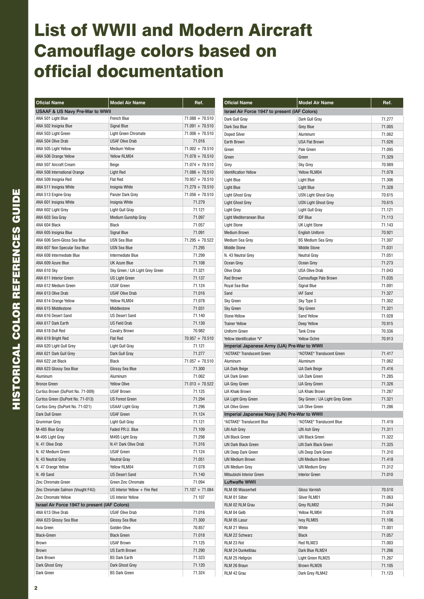### List of WWII and Modern Aircraft Camouflage colors based on official documentation

| <b>Oficial Name</b>                           | <b>Model Air Name</b>            | Ref.              | <b>Oficial Name</b>                           | <b>Model Air Name</b>            | Ref.   |
|-----------------------------------------------|----------------------------------|-------------------|-----------------------------------------------|----------------------------------|--------|
| <b>USAAF &amp; US Navy Pre-War to WWII</b>    |                                  |                   | Israel Air Force 1947 to present (IAF Colors) |                                  |        |
| ANA 501 Light Blue                            | French Blue                      | $71.088 + 70.510$ | Dark Gull Gray                                | Dark Gull Gray                   | 71.277 |
| ANA 502 Insignia Blue                         | Signal Blue                      | $71.091 + 70.510$ | Dark Sea Blue                                 | <b>Grey Blue</b>                 | 71.005 |
| ANA 503 Light Green                           | <b>Light Green Chromate</b>      | $71.006 + 70.510$ | <b>Doped Silver</b>                           | Aluminum                         | 71.062 |
| ANA 504 Olive Drab                            | <b>USAF Olive Drab</b>           | 71.016            | Earth Brown                                   | <b>USA Flat Brown</b>            | 71.026 |
| ANA 505 Light Yellow                          | <b>Medium Yellow</b>             | $71.002 + 70.510$ | Green                                         | Pale Green                       | 71.095 |
| ANA 506 Orange Yellow                         | Yellow RLM04                     | $71.078 + 70.510$ | Green                                         | Green                            | 71.329 |
| ANA 507 Aircraft Cream                        | Beige                            | $71.074 + 70.510$ | Grey                                          | <b>Sky Grey</b>                  | 70.989 |
| ANA 508 International Orange                  | <b>Light Red</b>                 | $71.086 + 70.510$ | <b>Identification Yellow</b>                  | Yellow RLM04                     | 71.078 |
| ANA 509 Insignia Red                          | <b>Flat Red</b>                  | $70.957 + 70.510$ | <b>Light Blue</b>                             | <b>Light Blue</b>                | 71.306 |
| ANA 511 Insignia White                        | Insignia White                   | $71.279 + 70.510$ | <b>Light Blue</b>                             | <b>Light Blue</b>                | 71.328 |
| ANA 513 Engine Gray                           | Panzer Dark Grey                 | $71.056 + 70.510$ | <b>Light Ghost Gray</b>                       | USN Light Ghost Gray             | 70.615 |
| ANA 601 Insignia White                        | Insignia White                   | 71.279            | <b>Light Ghost Grey</b>                       | <b>USN Light Ghost Grey</b>      | 70.615 |
| ANA 602 Light Grey                            | Light Gull Gray                  | 71.121            | <b>Light Grey</b>                             | Light Gull Gray                  | 71.121 |
| ANA 603 Sea Gray                              | <b>Medium Gunship Gray</b>       | 71.097            | Light Mediterranean Blue                      | <b>IDF Blue</b>                  | 71.113 |
| ANA 604 Black                                 | Black                            | 71.057            | <b>Light Stone</b>                            | <b>UK Light Stone</b>            | 71.143 |
| ANA 605 Insignia Blue                         | <b>Signal Blue</b>               | 71.091            | <b>Medium Brown</b>                           | <b>English Uniform</b>           | 70.921 |
| ANA 606 Semi-Gloss Sea Blue                   | <b>USN Sea Blue</b>              | $71.295 + 70.522$ | Medium Sea Grey                               | <b>BS Medium Sea Grey</b>        | 71.307 |
| ANA 607 Non Specular Sea Blue                 | <b>USN Sea Blue</b>              | 71.295            | <b>Middle Stone</b>                           | <b>Middle Stone</b>              | 71.031 |
| ANA 608 Intermediate Blue                     | Intermediate Blue                | 71.299            | N. 43 Neutral Grey                            | <b>Neutral Gray</b>              | 71.051 |
| ANA 609 Azure Blue                            | <b>UK Azure Blue</b>             | 71.108            | Ocean Grey                                    | Ocean Grey                       | 71.273 |
| ANA 610 Sky                                   | Sky Green / IJA Light Grey Green | 71.321            | Olive Drab                                    | <b>USA Olive Drab</b>            | 71.043 |
| ANA 611 Interior Green                        | <b>US Light Green</b>            | 71.137            | <b>Red Brown</b>                              | Camouflage Pale Brown            | 71.035 |
| ANA 612 Medium Green                          | <b>USAF Green</b>                | 71.124            | Royal Sea Blue                                | Signal Blue                      | 71.091 |
| ANA 613 Olive Drab                            | <b>USAF Olive Drab</b>           | 71.016            | Sand                                          | IAF Sand                         | 71.327 |
| ANA 614 Orange Yellow                         | Yellow RLM04                     | 71.078            | Sky Green                                     | Sky Type S                       | 71.302 |
| ANA 615 Middlestone                           | Middlestone                      | 71.031            | Sky Green                                     | Sky Green                        | 71.321 |
| ANA 616 Desert Sand                           | <b>US Desert Sand</b>            | 71.140            | Stone-Yellow                                  | Sand Yellow                      | 71.028 |
| ANA 617 Dark Earth                            | <b>US Field Drab</b>             | 71.139            | <b>Trainer Yellow</b>                         | Deep Yellow                      | 70.915 |
| ANA 618 Dull Red                              | <b>Cavalry Brown</b>             | 70.982            | <b>Uniform Green</b>                          | <b>Tank Crew</b>                 | 70.336 |
| ANA 619 Bright Red                            | <b>Flat Red</b>                  | $70.957 + 70.510$ | Yellow Identification "V"                     | Yellow Ochre                     | 70.913 |
| ANA 620 Light Gull Grey                       | Light Gull Gray                  | 71.121            | Imperial Japanese Army (IJA) Pre-War to WWII  |                                  |        |
| ANA 621 Dark Gull Grey                        | Dark Gull Gray                   | 71.277            | "AOTAKE" Translucent Green                    | "AOTAKE" Translucent Green       | 71.417 |
| ANA 622 Jet Black                             | Black                            | $71.057 + 70.510$ | Aluminum                                      | Aluminum                         | 71.062 |
| ANA 623 Glossy Sea Blue                       | Glossy Sea Blue                  | 71.300            | <b>IJA Dark Beige</b>                         | <b>IJA Dark Beige</b>            | 71.416 |
| Aluminum                                      | Aluminum                         | 71.062            | <b>IJA Dark Green</b>                         | <b>IJA Dark Green</b>            | 71.285 |
| <b>Bronze Green</b>                           | <b>Yellow Olive</b>              | $71.013 + 70.522$ | <b>IJA Grey Green</b>                         | <b>IJA Grey Green</b>            | 71.326 |
| Curtiss Brown (DuPont No. 71-009)             | <b>USAF Brown</b>                | 71.125            | IJA Khaki Brown                               | IJA Khaki Brown                  | 71.287 |
| Curtiss Green (DuPont No. 71-013)             | <b>US Forest Green</b>           | 71.294            | <b>IJA Light Grey Green</b>                   | Sky Green / IJA Light Grey Green | 71.321 |
| Curtiss Grey (DuPont No. 71-021)              | <b>USAAF Light Gray</b>          | 71.296            | <b>IJA Olive Green</b>                        | <b>IJA Olive Green</b>           | 71.286 |
| Dark Dull Green                               | <b>USAF Green</b>                | 71.124            | Imperial Japanese Navy (IJN) Pre-War to WWII  |                                  |        |
| Grumman Grey                                  | Light Gull Gray                  | 71.121            | "AOTAKE" Translucent Blue                     | "AOTAKE" Translucent Blue        | 71.419 |
| M-485 Blue Gray                               | Faded P.R.U. Blue                | 71.109            | <b>IJN Ash Grey</b>                           | <b>IJN Ash Grey</b>              | 71.311 |
| M-495 Light Gray                              | M495 Light Gray                  | 71.298            | <b>IJN Black Green</b>                        | <b>IJN Black Green</b>           | 71.322 |
| N. 41 Olive Drab                              | N.41 Dark Olive Drab             | 71.316            | <b>IJN Dark Black Green</b>                   | <b>IJN Dark Black Green</b>      | 71.325 |
| N. 42 Medium Green                            | <b>USAF Green</b>                | 71.124            | IJN Deep Dark Green                           | <b>IJN Deep Dark Green</b>       | 71.310 |
| N. 43 Neutral Grey                            | <b>Neutral Gray</b>              | 71.051            | <b>IJN Medium Brown</b>                       | <b>IJN Medium Brown</b>          | 71.418 |
| N. 47 Orange Yellow                           | Yellow RLM04                     | 71.078            | <b>IJN Medium Grey</b>                        | <b>IJN Medium Grey</b>           | 71.312 |
| N. 49 Sand                                    | <b>US Desert Sand</b>            | 71.140            | Mitsubishi Interior Green                     | <b>Interior Green</b>            | 71.010 |
| Zinc Chromate Green                           | Green Zinc Chromate              | 71.094            | <b>Luftwaffe WWII</b>                         |                                  |        |
| Zinc Chromate Salmon (Vought F4U)             | US Interior Yellow + Fire Red    | $71.107 + 71.084$ | RLM 00 Wasserhell                             | Gloss Varnish                    | 70.510 |
| Zinc Chromate Yellow                          | <b>US Interior Yellow</b>        | 71.107            | RLM 01 Silber                                 | Silver RLM01                     | 71.063 |
| Israel Air Force 1947 to present (IAF Colors) |                                  |                   |                                               |                                  | 71.044 |
|                                               |                                  |                   | RLM 02 RLM Grau                               | Grey RLM02                       |        |
| ANA 613 Olive Drab                            | <b>USAF Olive Drab</b>           | 71.016<br>71.300  | RLM 04 Gelb                                   | Yellow RLM04                     | 71.078 |
| ANA 623 Glossy Sea Blue                       | Glossy Sea Blue<br>Golden Olive  | 70.857            | RLM 05 Lasur                                  | Ivoy RLM05                       | 71.106 |
| Avia Green                                    |                                  |                   | RLM 21 Weiss                                  | White                            | 71.001 |
| <b>Black-Green</b>                            | <b>Black Green</b>               | 71.018            | RLM 22 Schwarz                                | Black                            | 71.057 |
| Brown                                         | <b>USAF Brown</b>                | 71.125            | RLM 23 Rot                                    | Red RLM23                        | 71.003 |
| Brown                                         | US Earth Brown                   | 71.290            | RLM 24 Dunkelblau                             | Dark Blue RLM24                  | 71.266 |
| Dark Brown                                    | <b>BS Dark Earth</b>             | 71.323            | RLM 25 Hellgrün                               | Light Green RLM25                | 71.267 |
| Dark Ghost Grey                               | Dark Ghost Grey                  | 71.120            | RLM 26 Braun                                  | Brown RLM26                      | 71.105 |
| Dark Green                                    | <b>BS Dark Green</b>             | 71.324            | RLM 42 Grau                                   | Dark Grey RLM42                  | 71.123 |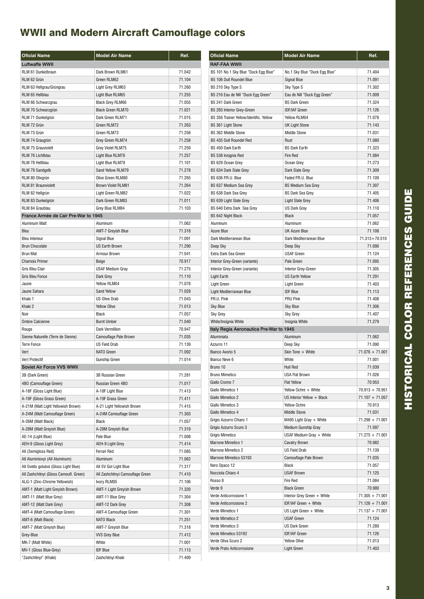| <b>Oficial Name</b>                                         | <b>Model Air Name</b>                          | Ref.             |
|-------------------------------------------------------------|------------------------------------------------|------------------|
| <b>Luftwaffe WWII</b>                                       |                                                |                  |
| RLM 61 Dunkelbraun                                          | Dark Brown RLM61                               | 71.042           |
| RLM 62 Grün                                                 | Green RLM62                                    | 71.104           |
| RLM 63 Hellgrau/Grüngrau                                    | Light Grey RLM63                               | 71.260           |
| RLM 65 Hellblau                                             | Light Blue RLM65                               | 71.255           |
| RLM 66 Schwarzgrau                                          | <b>Black Grey RLM66</b>                        | 71.055           |
| RLM 70 Schwarzgrün                                          | <b>Black Green RLM70</b>                       | 71.021           |
| RLM 71 Dunkelgrün                                           | Dark Green RLM71                               | 71.015           |
| RLM 72 Grün                                                 | Green RLM72                                    | 71.263           |
| RLM 73 Grün                                                 | Green RLM73                                    | 71.256           |
| RLM 74 Graugrün                                             | Grev Green RLM74                               | 71.258           |
| <b>RLM 75 Grauviolett</b>                                   | Grey Violet RLM75                              | 71.259           |
| <b>RLM 76 Lichtblau</b>                                     | Light Blue RLM76                               | 71.257           |
| RLM 78 Hellblau                                             | Light Blue RLM78                               | 71.101           |
| RLM 79 Sandgelb                                             | Sand Yellow RLM79                              | 71.278           |
| RLM 80 Olivgrün                                             | Olive Green RLM80                              | 71.265           |
| RLM 81 Braunviolett                                         | <b>Brown Violet RLM81</b><br>Light Green RLM82 | 71.264<br>71.022 |
| RLM 82 Hellgrün<br>RLM 83 Dunkelgrün                        | Dark Green RLM83                               | 71.011           |
| RLM 84 Graublau                                             | Grey Blue RLM84                                | 71.103           |
| France Armée de L'air Pre-War to 1945                       |                                                |                  |
| Aluminum Matt                                               | Aluminum                                       | 71.062           |
| Bleu                                                        | AMT-7 Greyish Blue                             | 71.318           |
| <b>Bleu Interieur</b>                                       | Signal Blue                                    | 71.091           |
| <b>Brun Chocolate</b>                                       | <b>US Earth Brown</b>                          | 71.290           |
| <b>Brun Mat</b>                                             | Armour Brown                                   | 71.041           |
| <b>Chamois Primer</b>                                       | Beige                                          | 70.917           |
| Gris Bleu Clair                                             | <b>USAF Medium Gray</b>                        | 71.275           |
| Gris Bleu Fonce                                             | Dark Grey                                      | 71.110           |
| Jaune                                                       | Yellow RLM04                                   | 71.078           |
| Jaune Sahara                                                | Sand Yellow                                    | 71.028           |
| Khaki 1                                                     | <b>US Olive Drab</b>                           | 71.043           |
| Khaki 2                                                     | <b>Yellow Olive</b>                            | 71.013           |
| Noir                                                        | <b>Black</b>                                   | 71.057           |
| <b>Ombre Calcienne</b>                                      | <b>Burnt Umber</b>                             | 71.040           |
| Rouge                                                       | Dark Vermillion                                | 70.947           |
| Sienne Naturelle (Terre de Sienne)                          | Camouflage Pale Brown                          | 71.035           |
| <b>Terre Fonce</b>                                          | <b>US Field Drab</b>                           | 71.139           |
| Vert                                                        | NATO Green                                     | 71.092           |
| Vert Protectif                                              | <b>Gunship Green</b>                           | 71.014           |
| Soviet Air Force VVS WWII                                   |                                                |                  |
| 3B (Dark Green)                                             | 3B Russian Green                               | 71.281           |
| 4BO (Camouflage Green)                                      | Russian Green 4BO                              | 71.017           |
| A-18F (Gloss Light Blue)                                    | A-18F Light Blue                               | 71.413           |
| A-19F (Gloss Grass Green)                                   | A-19F Grass Green                              | 71.411           |
| A-21M (Matt Light Yellowish Brown)                          | A-21 Light Yellowish Brown                     | 71.415           |
| A-24M (Matt Camouflage Green)                               | A-24M Camouflage Green                         | 71.303           |
| A-26M (Matt Black)                                          | Black                                          | 71.057           |
| A-28M (Matt Greyish Blue)                                   | A-28M Greyish Blue                             | 71.319           |
| AE-14 (Light Blue)                                          | Pale Blue                                      | 71.008           |
| AEH-9 (Gloss Light Grey)                                    | <b>AEH-9 Light Grey</b>                        | 71.414           |
| All (Semigloss Red)                                         | Ferrari Red                                    | 71.085           |
| All Aluminiovyi (All Aluminum)                              | Aluminum                                       | 71.062           |
| All Svetlo goluboi (Gloss Light Blue)                       | All SV Gol Light Blue                          | 71.317           |
| All Zashchitnyi (Gloss Camoufl. Green)                      | All Zashchitnyi Camouflage Green               | 71.410           |
| ALG-1 (Zinc-Chrome Yellowish)                               | Ivory RLM05                                    | 71.106           |
| AMT-1 (Matt Light Greyish Brown)<br>AMT-11 (Matt Blue Grey) | AMT-1 Light Greyish Brown<br>AMT-11 Blue Grey  | 71.320<br>71.304 |
| AMT-12 (Matt Dark Grey)                                     | AMT-12 Dark Grey                               | 71.308           |
| AMT-4 (Matt Camouflage Green)                               | AMT-4 Camouflage Green                         | 71.301           |
| AMT-6 (Matt Black)                                          | <b>NATO Black</b>                              | 71.251           |
| AMT-7 (Matt Greyish Blue)                                   | AMT-7 Greyish Blue                             | 71.318           |
| Grey-Blue                                                   | <b>VVS Grey Blue</b>                           | 71.412           |
| MK-7 (Matt White)                                           | White                                          | 71.001           |
| MV-1 (Gloss Blue-Grey)                                      | <b>IDF Blue</b>                                | 71.113           |
| "Zashchitnyi" (Khaki)                                       | Zashchitnyi Khaki                              | 71.409           |
|                                                             |                                                |                  |

| <b>Oficial Name</b>                             | <b>Model Air Name</b>                                | Ref.                        |
|-------------------------------------------------|------------------------------------------------------|-----------------------------|
| RAF-FAA WWII                                    |                                                      |                             |
| BS 101 No.1 Sky Blue "Duck Egg Blue"            | No.1 Sky Blue "Duck Egg Blue"                        | 71.404                      |
| <b>BS 106 Dull Roundel Blue</b>                 | <b>Signal Blue</b>                                   | 71.091                      |
| BS 210 Sky Type S                               | Sky Type S                                           | 71.302                      |
| BS 216 Eau de Nill "Duck Egg Green"             | Eau de Nill "Duck Egg Green"                         | 71.009                      |
| BS 241 Dark Green                               | <b>BS Dark Green</b>                                 | 71.324                      |
| <b>BS 283 Interior Grey-Green</b>               | <b>IDF/IAF Green</b>                                 | 71.126                      |
| BS 356 Trainer Yellow/Identific. Yellow         | Yellow RLM04                                         | 71.078                      |
| BS 361 Light Stone                              | <b>UK Light Stone</b>                                | 71.143                      |
| <b>BS 362 Middle Stone</b>                      | <b>Middle Stone</b>                                  | 71.031                      |
| BS 435 Dull Roundel Red                         | Rust                                                 | 71.080                      |
| BS 450 Dark Earth                               | <b>BS Dark Earth</b>                                 | 71.323                      |
| BS 538 Insignia Red                             | <b>Fire Red</b>                                      | 71.084                      |
| BS 629 Ocean Grey                               | Ocean Grey                                           | 71.273                      |
| BS 634 Dark Slate Grey                          | Dark Slate Grey                                      | 71.309                      |
| BS 636 P.R.U. Blue                              | Faded P.R.U. Blue                                    | 71.109                      |
| BS 637 Medium Sea Grey                          | <b>BS Medium Sea Grey</b><br><b>BS Dark Sea Grey</b> | 71.307<br>71.405            |
| BS 638 Dark Sea Grey<br>BS 639 Light Slate Grey |                                                      |                             |
| BS 640 Extra Dark Sea Grey                      | <b>Light Slate Grey</b><br><b>US Dark Gray</b>       | 71.406<br>71.110            |
| BS 642 Night Black                              | <b>Black</b>                                         | 71.057                      |
| Aluminum                                        | Aluminum                                             | 71.062                      |
| <b>Azure Blue</b>                               | <b>UK Azure Blue</b>                                 | 71.108                      |
| Dark Mediterranean Blue                         | Dark Mediterranean Blue                              | $71.313 + 70.510$           |
| Deep Sky                                        | Deep Sky                                             | 71.090                      |
| Extra Dark Sea Green                            | <b>USAF Green</b>                                    | 71.124                      |
| Interior Grey-Green (variante)                  | Pale Green                                           | 71.095                      |
| Interior Grey-Green (variante)                  | <b>Interior Grey-Green</b>                           | 71.305                      |
| Light Earth                                     | <b>US Earth Yellow</b>                               | 71.291                      |
| Light Green                                     | <b>Light Green</b>                                   | 71.403                      |
| Light Mediterranean Blue                        | <b>IDF Blue</b>                                      | 71.113                      |
| P.R.U. Pink                                     | <b>PRU Pink</b>                                      | 71.408                      |
| <b>Sky Blue</b>                                 | <b>Sky Blue</b>                                      | 71.306                      |
| Sky Grey                                        | Sky Grey                                             | 71.407                      |
| White/Insignia White                            | Insignia White                                       | 71.279                      |
| Italy Regia Aeronautica Pre-War to 1945         |                                                      |                             |
| Alluminiata                                     | Aluminum                                             | 71.062                      |
| Azzurro 11                                      | Deep Sky                                             | 71.090                      |
| Bianco Avorio 5                                 | Skin Tone + White                                    | $71.076 + 71.001$           |
| Bianco Neve 6                                   | White                                                | 71.001                      |
| Bruno 10                                        | Hull Red                                             | 71.039                      |
| <b>Bruno Mimetico</b>                           | USA Flat Brown                                       | 71.026                      |
| Giallo Cromo 7                                  | <b>Flat Yellow</b>                                   | 70.953                      |
| Giallo Mimetico 1                               | Yellow Ochre + White                                 | $70.913 + 70.951$           |
| Giallo Mimetico 2                               | US Interior Yellow + Black                           | $71.107 + 71.057$           |
| Giallo Mimetico 3                               | Yellow Ochre                                         | 70.913                      |
| Giallo Mimetico 4<br>Grigio Azzurro Chiaro 1    | <b>Middle Stone</b><br>M495 Light Gray $+$ White     | 71.031<br>$71.298 + 71.001$ |
| Grigio Azzurro Scuro 3                          | Medium Gunship Gray                                  | 71.097                      |
| Grigio Mimetico                                 | USAF Medium Gray + White                             | $71.275 + 71.001$           |
| Marrone Mimetico 1                              | <b>Cavalry Brown</b>                                 | 70.982                      |
| Marrone Mimetico 2                              | <b>US Field Drab</b>                                 | 71.139                      |
| Marrone Mimetico 53193                          | Camouflage Pale Brown                                | 71.035                      |
| Nero Opaco 12                                   | Black                                                | 71.057                      |
| Nocciola Chiaro 4                               | <b>USAF Brown</b>                                    | 71.125                      |
| Rosso 8                                         | Fire Red                                             | 71.084                      |
| Verde 9                                         | <b>Black Green</b>                                   | 70.980                      |
| Verde Anticorrosione 1                          | Interior Grey Green + White                          | $71.305 + 71.001$           |
| Verde Anticorrosione 2                          | IDF/IAF Green + White                                | $71.126 + 71.001$           |
| Verde Mimetico 1                                | US Light Green $+$ White                             | 71.137 + 71.001             |
| Verde Mimetico 2                                | <b>USAF Green</b>                                    | 71.124                      |
| Verde Mimetico 3                                | <b>US Dark Green</b>                                 | 71.289                      |
| Verde Mimetico 53192                            | <b>IDF/IAF Green</b>                                 | 71.126                      |
| Verde Oliva Scuro 2                             | <b>Yellow Olive</b>                                  | 71.013                      |
| Verde Prato Anticorrosione                      | Light Green                                          | 71.403                      |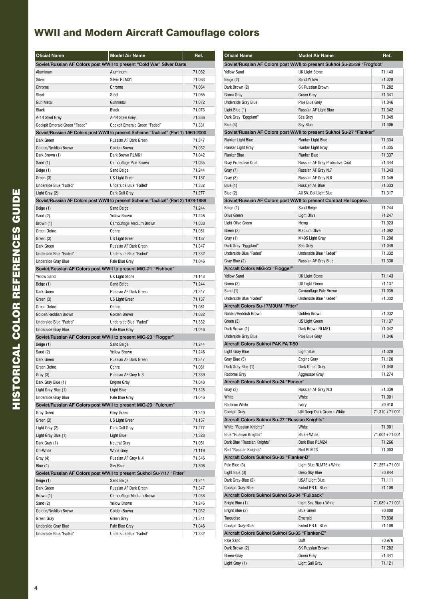| <b>Oficial Name</b>                                                                  | <b>Model Air Name</b>                                                              | Ref.             |
|--------------------------------------------------------------------------------------|------------------------------------------------------------------------------------|------------------|
|                                                                                      | Soviet/Russian AF Colors post WWII to present "Cold War" Silver Darts              |                  |
| Aluminum                                                                             | Aluminum                                                                           | 71.062           |
| Silver                                                                               | Silver RLM01                                                                       | 71.063           |
| Chrome                                                                               | Chrome                                                                             | 71.064           |
| Steel                                                                                | <b>Steel</b>                                                                       | 71.065           |
| <b>Gun Metal</b>                                                                     | Gunmetal                                                                           | 71.072           |
| <b>Black</b>                                                                         | Black                                                                              | 71.073           |
| A-14 Steel Grey                                                                      | A-14 Steel Grey                                                                    | 71.336           |
| <b>Cockpit Emerald Green "Faded"</b>                                                 | <b>Cockpit Emerald Green "Faded"</b>                                               | 71.331           |
|                                                                                      | Soviet/Russian AF Colors post WWII to present Scheme "Tactical" (Part 1) 1960-2000 |                  |
| Dark Green                                                                           | Russian AF Dark Green                                                              | 71.347           |
| Golden/Reddish Brown                                                                 | Golden Brown                                                                       | 71.032           |
| Dark Brown (1)                                                                       | Dark Brown RLM61                                                                   | 71.042           |
| Sand (1)                                                                             | Camouflage Pale Brown                                                              | 71.035           |
| Beige (1)                                                                            | Sand Beige                                                                         | 71.244           |
| Green (3)                                                                            | <b>US Light Green</b>                                                              | 71.137           |
| Underside Blue "Faded"                                                               | Underside Blue "Faded"                                                             | 71.332           |
| Light Gray (2)                                                                       | Dark Gull Gray                                                                     | 71.277           |
|                                                                                      | Soviet/Russian AF Colors post WWII to present Scheme "Tactical" (Part 2) 1978-1989 |                  |
| Beige (1)                                                                            | Sand Beige                                                                         | 71.244           |
| Sand (2)                                                                             | <b>Yellow Brown</b>                                                                | 71.246           |
| Brown (1)                                                                            | Camouflage Medium Brown                                                            | 71.038           |
| Green Ochre                                                                          | Ochre                                                                              | 71.081           |
| Green (3)                                                                            | <b>US Light Green</b>                                                              | 71.137           |
| Dark Green                                                                           | Russian AF Dark Green                                                              | 71.347           |
| Underside Blue "Faded"                                                               | Underside Blue "Faded"                                                             | 71.332           |
| <b>Underside Gray Blue</b>                                                           | Pale Blue Grey                                                                     | 71.046           |
|                                                                                      |                                                                                    |                  |
| Soviet/Russian AF Colors post WWII to present MiG-21 "Fishbed"<br><b>Yellow Sand</b> |                                                                                    | 71.143           |
|                                                                                      | <b>UK Light Stone</b><br>Sand Beige                                                | 71.244           |
| Beige (1)                                                                            | <b>Russian AF Dark Green</b>                                                       | 71.347           |
| Dark Green                                                                           |                                                                                    |                  |
| Green (3)<br>Green Ochre                                                             | <b>US Light Green</b><br>Ochre                                                     | 71.137<br>71.081 |
|                                                                                      |                                                                                    |                  |
| Golden/Reddish Brown                                                                 | Golden Brown                                                                       | 71.032           |
| Underside Blue "Faded"                                                               | Underside Blue "Faded"                                                             | 71.332           |
| <b>Underside Gray Blue</b>                                                           | Pale Blue Grev                                                                     | 71.046           |
| Soviet/Russian AF Colors post WWII to present MiG-23 "Flogger"                       |                                                                                    |                  |
| Beige (1)                                                                            | <b>Sand Beige</b>                                                                  | 71.244           |
| Sand (2)                                                                             | <b>Yellow Brown</b>                                                                | 71.246           |
| Dark Green                                                                           | Russian AF Dark Green                                                              | 71.347           |
| Green Ochre                                                                          | Ochre                                                                              | 71.081           |
| Gray (3)                                                                             | Russian AF Grey N.3                                                                | 71.339           |
| Dark Gray Blue (1)                                                                   | <b>Engine Gray</b>                                                                 | 71.048           |
| Light Gray Blue (1)                                                                  | Light Blue                                                                         | 71.328           |
| <b>Underside Gray Blue</b>                                                           | Pale Blue Grey                                                                     | 71.046           |
| Soviet/Russian AF Colors post WWII to present MiG-29 "Fulcrum"                       |                                                                                    |                  |
| Gray Green                                                                           | Grey Green                                                                         | 71.340           |
| Green (3)                                                                            | US Light Green                                                                     | 71.137           |
| Light Gray (2)                                                                       | Dark Gull Gray                                                                     | 71.277           |
| Light Gray Blue (1)                                                                  | Light Blue                                                                         | 71.328           |
| Dark Gray (1)                                                                        | Neutral Gray                                                                       | 71.051           |
| Off-White                                                                            | <b>White Grey</b>                                                                  | 71.119           |
| Gray (4)                                                                             | Russian AF Grey N.4                                                                | 71.346           |
| Blue $(4)$                                                                           | <b>Sky Blue</b>                                                                    | 71.306           |
|                                                                                      | Soviet/Russian AF Colors post WWII to present Sukhoi Su-7/17 "Fitter"              |                  |
| Beige (1)                                                                            | Sand Beige                                                                         | 71.244           |
| Dark Green                                                                           | Russian AF Dark Green                                                              | 71.347           |
| Brown (1)                                                                            | Camouflage Medium Brown                                                            | 71.038           |
| Sand (2)                                                                             | <b>Yellow Brown</b>                                                                | 71.246           |
| Golden/Reddish Brown                                                                 | Golden Brown                                                                       | 71.032           |
| Green Gray                                                                           | Green Grey                                                                         | 71.341           |
| <b>Underside Gray Blue</b>                                                           | Pale Blue Grey                                                                     | 71.046           |
| Underside Blue "Faded"                                                               | Underside Blue "Faded"                                                             | 71.332           |

| <b>Oficial Name</b>                             | <b>Model Air Name</b>                                                    | Ref.              |
|-------------------------------------------------|--------------------------------------------------------------------------|-------------------|
|                                                 | Soviet/Russian AF Colors post WWII to present Sukhoi Su-25/39 "Frogfoot" |                   |
| <b>Yellow Sand</b>                              | <b>UK Light Stone</b><br><b>Sand Yellow</b>                              | 71.143<br>71.028  |
| Beige (2)<br>Dark Brown (2)                     | <b>6K Russian Brown</b>                                                  | 71.282            |
| Green Gray                                      | Green Grey                                                               | 71.341            |
| <b>Underside Gray Blue</b>                      | Pale Blue Grey                                                           | 71.046            |
| Light Blue (1)                                  | Russian AF Light Blue                                                    | 71.342            |
| Dark Gray "Eggplant"                            | Sea Grey                                                                 | 71.049            |
| Blue $(4)$                                      | <b>Sky Blue</b>                                                          | 71.306            |
|                                                 | Soviet/Russian AF Colors post WWII to present Sukhoi Su-27 "Flanker"     |                   |
| <b>Flanker Light Blue</b>                       | <b>Flanker Light Blue</b>                                                | 71.334            |
| <b>Flanker Light Gray</b>                       | <b>Flanker Light Gray</b>                                                | 71.335            |
| <b>Flanker Blue</b>                             | <b>Flanker Blue</b>                                                      | 71.337            |
| <b>Gray Protective Coat</b>                     | Russian AF Grey Protective Coat                                          | 71.344            |
| Gray (7)                                        | Russian AF Grey N.7                                                      | 71.343            |
| Gray (8)                                        | Russian AF Grey N.8                                                      | 71.345            |
| Blue (1)                                        | Russian AF Blue                                                          | 71.333            |
| Blue $(2)$                                      | All SV. Gol Light Blue                                                   | 71.317            |
|                                                 | Soviet/Russian AF Colors post WWII to present Combat Helicopters         | 71.244            |
| Beige (1)<br>Olive Green                        | Sand Beige<br><b>Light Olive</b>                                         | 71.247            |
| <b>Light Olive Green</b>                        | Hemp                                                                     | 71.023            |
| Green (2)                                       | <b>Medium Olive</b>                                                      | 71.092            |
| Gray (1)                                        | M495 Light Gray                                                          | 71.298            |
| Dark Gray "Eggplant"                            | Sea Grey                                                                 | 71.049            |
| Underside Blue "Faded"                          | Underside Blue "Faded"                                                   | 71.332            |
| Gray Blue (2)                                   | Russian AF Grey Blue                                                     | 71.338            |
| Aircraft Colors MiG-23 "Flogger"                |                                                                          |                   |
| <b>Yellow Sand</b>                              | <b>UK Light Stone</b>                                                    | 71.143            |
| Green (3)                                       | US Light Green                                                           | 71.137            |
| Sand (1)                                        | Camouflage Pale Brown                                                    | 71.035            |
| Underside Blue "Faded"                          | Underside Blue "Faded"                                                   | 71.332            |
| Aircraft Colors Su-17M3UM "Fitter"              |                                                                          |                   |
| Golden/Reddish Brown                            | Golden Brown                                                             | 71.032            |
| Green (3)                                       | <b>US Light Green</b>                                                    | 71.137            |
| Dark Brown (1)                                  | Dark Brown RLM61                                                         | 71.042            |
| <b>Underside Gray Blue</b>                      | Pale Blue Grey                                                           | 71.046            |
| Aircraft Colors Sukhoi PAK FA T-50              |                                                                          |                   |
| Light Gray Blue<br>Gray Blue (5)                | Light Blue<br><b>Engine Gray</b>                                         | 71.328<br>71.120  |
| Dark Gray Blue (1)                              | Dark Ghost Gray                                                          | 71.048            |
| <b>Radome Grey</b>                              | <b>Aggressor Gray</b>                                                    | 71.274            |
| Aircraft Colors Sukhoi Su-24 "Fencer"           |                                                                          |                   |
| Gray (3)                                        | Russian AF Grey N.3                                                      | 71.339            |
| White                                           | White                                                                    | 71.001            |
| Radome White                                    | Ivory                                                                    | 70.918            |
| Cockpit Gray                                    | IJN Deep Dark Green+White                                                | 71.310+71.001     |
| Aircraft Colors Sukhoi Su-27 "Russian Knights"  |                                                                          |                   |
| White "Russian Knights"                         | White                                                                    | 71.001            |
| Blue "Russian Knights"                          | Blue + White                                                             | $71.004 + 71.001$ |
| Dark Blue "Russian Knights"                     | Dark Blue RLM24                                                          | 71.266            |
| Red "Russian Knights"                           | Red RLM23                                                                | 71.003            |
| Aircraft Colors Sukhoi Su-33 "Flanker-D"        |                                                                          |                   |
| Pale Blue (3)                                   | Light Blue RLM76+White                                                   | 71.257+71.001     |
| Light Blue (3)                                  | Deep Sky Blue                                                            | 70.844<br>71.111  |
| Dark Gray-Blue (2)<br>Cockpit Gray-Blue         | <b>USAF Light Blue</b><br>Faded P.R.U. Blue                              | 71.109            |
| Aircraft Colors Sukhoi Sukhoi Su-34 "Fullback"  |                                                                          |                   |
| Bright Blue (1)                                 | Light Sea Blue + White                                                   | $71.089 + 71.001$ |
| Bright Blue (2)                                 | <b>Blue Green</b>                                                        | 70.808            |
| Turquoise                                       | Emerald                                                                  | 70.838            |
| Cockpit Gray-Blue                               | Faded P.R.U. Blue                                                        | 71.109            |
| Aircraft Colors Sukhoi Sukhoi Su-35 "Flanker-E" |                                                                          |                   |
| Pale Sand                                       | Buff                                                                     | 70.976            |
| Dark Brown (2)                                  | 6K Russian Brown                                                         | 71.282            |
| Green-Gray                                      | Green Grey                                                               | 71.341            |
| Light Gray (1)                                  | Light Gull Gray                                                          | 71.121            |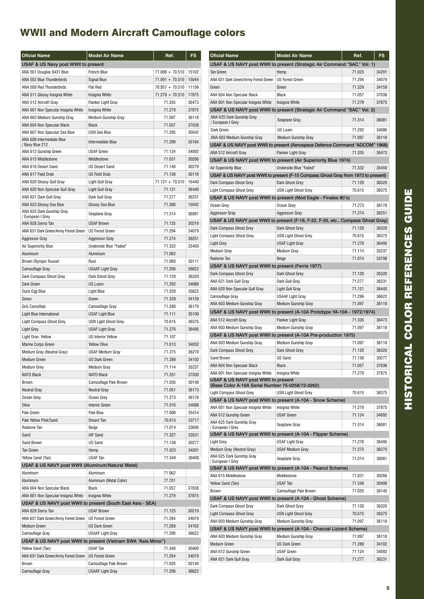| <b>Oficial Name</b>                               | <b>Model Air Name</b>                                          | Ref.              | FS    |
|---------------------------------------------------|----------------------------------------------------------------|-------------------|-------|
| USAF & US Navy post WWII to present               |                                                                |                   |       |
| ANA 501 Douglas 9431 Blue                         | <b>French Blue</b>                                             | $71.088 + 70.510$ | 15102 |
| ANA 502 Blue Thunderbirds                         | Signal Blue                                                    | $71.091 + 70.510$ | 15044 |
| ANA 509 Red Thunderbirds                          | <b>Flat Red</b>                                                | $70.957 + 70.510$ | 11136 |
| ANA 511 Glossy Insignia White                     | Insignia White                                                 | $71.279 + 70.510$ | 17875 |
| ANA 512 Aircraft Gray                             | <b>Flanker Light Gray</b>                                      | 71.335            | 36473 |
| ANA 601 Non Specular Insignia White               | Insignia White                                                 | 71.279            | 37875 |
| ANA 603 Medium Gunship Gray                       | Medium Gunship Gray                                            | 71.097            | 36118 |
| ANA 604 Non Specular Black                        | <b>Black</b>                                                   | 71.057            | 37038 |
| ANA 607 Non Specular Sea Blue                     | <b>USN Sea Blue</b>                                            | 71.295            | 35042 |
| ANA 608 Intermediate Blue<br>/ Navy Blue 212      | Intermediate Blue                                              | 71.299            | 35164 |
| ANA 612 Gunship Green                             | <b>USAF Green</b>                                              | 71.124            | 34092 |
| ANA 615 Middlestone                               | Middlestone                                                    | 71.031            | 30266 |
| ANA 616 Desert Sand                               | <b>US Desert Sand</b>                                          | 71.140            | 30279 |
| ANA 617 Field Drab                                | <b>US Field Drab</b>                                           | 71.139            | 30118 |
| ANA 620 Glossy Gull Gray                          | Light Gull Gray                                                | $71.121 + 70.510$ | 16440 |
| ANA 620 Non Specular Gull Gray                    | Light Gull Gray                                                | 71.121            | 36440 |
| ANA 621 Dark Gull Gray                            | Dark Gull Gray                                                 | 71.277            | 36231 |
| ANA 623 Glossy Sea Blue                           | Glossy Sea Blue                                                | 71.300            | 15042 |
| ANA 625 Dark Gunship Gray<br>/ European I Grey    | Seaplane Gray                                                  | 71.314            | 36081 |
| ANA 628 Sierra Tan                                | <b>USAF Brown</b>                                              | 71.125            | 30219 |
| ANA 631 Dark Green/Army Forest Green              | <b>US Forest Green</b>                                         | 71.294            | 34079 |
| <b>Aggressor Gray</b>                             | <b>Aggressor Gray</b>                                          | 71.274            | 36251 |
| <b>Air Superiority Blue</b>                       | Underside Blue "Faded"                                         | 71.332            | 35450 |
| Aluminum                                          | Aluminum                                                       | 71.062            |       |
| <b>Brown Olympic Russet</b>                       | Rust                                                           | 71.080            | 30111 |
| Camouflage Gray                                   | USAAF Light Gray                                               | 71.296            | 36622 |
| Dark Compass Ghost Grey                           | Dark Ghost Grey                                                | 71.120            | 36320 |
| Dark Green                                        | US Loam                                                        | 71.292            | 34086 |
| Duck Egg Blue                                     | <b>Light Blue</b>                                              | 71.328            | 35622 |
| Green                                             | Green                                                          | 71.329            | 34159 |
| Gris Camuflaje                                    | Camouflage Gray                                                | 71.280            | 36170 |
| Light Blue International                          | <b>USAF Light Blue</b>                                         | 71.111            | 35109 |
| <b>Light Compass Ghost Grey</b>                   | <b>USN Light Ghost Grey</b>                                    | 70.615            | 36375 |
| Light Grey                                        | <b>USAF Light Gray</b>                                         | 71.276            | 36495 |
| Light Oran. Yellow                                | <b>US Interior Yellow</b>                                      | 71.107            |       |
| <b>Marine Corps Green</b>                         | <b>Yellow Olive</b>                                            | 71.013            | 34052 |
| Médium Gray (Neutral Gray)                        | <b>USAF Medium Gray</b>                                        | 71.275            | 36270 |
| <b>Medium Green</b>                               | <b>US Dark Green</b>                                           | 71.289            | 34102 |
| Medium Grey                                       | Medium Gray                                                    | 71.114            | 35237 |
| NATO Black                                        | NATO Black                                                     | 71.251            | 37030 |
| <b>Brown</b>                                      | Camouflage Pale Brown                                          | 71.035            | 30140 |
| <b>Neutral Gray</b>                               | <b>Neutral Gray</b>                                            | 71.051            | 36173 |
| Ocean Grey                                        | Ocean Grey                                                     | 71.273            | 36176 |
| Olive                                             | <b>Interior Green</b>                                          | 71.010            | 34098 |
| Pale Green                                        | Pale Blue                                                      | 71.008            | 35414 |
| Pale Yellow Pink/Sand                             | Desert Tan                                                     | 70.613            | 33717 |
| Radome Tan                                        | Beige                                                          | 71.074            | 33695 |
| Sand                                              | IAF Sand                                                       | 71.327            | 33531 |
| Sand Brown                                        | US Sand                                                        | 71.138            | 30277 |
| Tan Green                                         | Hemp                                                           | 71.023            | 34201 |
| Yellow Sand (Tan)                                 | USAF Tan                                                       | 71.348            | 30400 |
| USAF & US NAVY post WWII (Aluminum/Natural Metal) |                                                                |                   |       |
| Aluminum                                          | Aluminum                                                       | 71.062            |       |
| Aluminum                                          | Aluminum (Metal Color)                                         | 77.701            |       |
| ANA 604 Non Specular Black                        | Black                                                          | 71.057            | 37038 |
| ANA 601 Non Specular Insignia White               | Insignia White                                                 | 71.279            | 37875 |
|                                                   | USAF & US NAVY post WWII to present (South East Asia - SEA)    |                   |       |
| ANA 628 Sierra Tan                                | <b>USAF Brown</b>                                              | 71.125            | 30219 |
| ANA 631 Dark Green/Army Forest Green              | <b>US Forest Green</b>                                         | 71.294            | 34079 |
| Medium Green                                      | <b>US Dark Green</b>                                           | 71.289            | 34102 |
| Camouflage Gray                                   | <b>USAAF Light Gray</b>                                        | 71.296            | 36622 |
|                                                   | USAF & US NAVY post WWII to present (Vietnam SWA "Asia Minor") |                   |       |
| Yellow Sand (Tan)                                 | USAF Tan                                                       | 71.348            | 30400 |
| ANA 631 Dark Green/Army Forest Green              | <b>US Forest Green</b>                                         | 71.294            | 34079 |
| Brown                                             | Camouflage Pale Brown                                          | 71.035            | 30140 |
| Camouflage Gray                                   | <b>USAAF Light Gray</b>                                        | 71.296            | 36622 |

| <b>Oficial Name</b>                                                                     | <b>Model Air Name</b>                                                              | Ref.   | <b>FS</b> |
|-----------------------------------------------------------------------------------------|------------------------------------------------------------------------------------|--------|-----------|
|                                                                                         | USAF & US NAVY post WWII to present (Strategic Air Command "SAC" Vol. 1)           |        |           |
| <b>Tan Green</b>                                                                        | Hemp                                                                               | 71.023 | 34201     |
| ANA 631 Dark Green/Army Forest Green                                                    | <b>US Forest Green</b>                                                             | 71.294 | 34079     |
| Green                                                                                   | Green                                                                              | 71.329 | 34159     |
| ANA 604 Non Specular Black                                                              | Black                                                                              | 71.057 | 37038     |
| ANA 601 Non Specular Insignia White                                                     | Insignia White                                                                     | 71.279 | 37875     |
|                                                                                         | USAF & US NAVY post WWII to present (Strategic Air Command "SAC" Vol. 2)           |        |           |
| ANA 625 Dark Gunship Gray<br>/ European I Grey                                          | Seaplane Gray                                                                      | 71.314 | 36081     |
| Dark Green                                                                              | US Loam                                                                            | 71.292 | 34086     |
| ANA 603 Medium Gunship Gray                                                             | Medium Gunship Gray                                                                | 71.097 | 36118     |
|                                                                                         | USAF & US NAVY post WWII to present (Aerospace Defence Command "ADCOM" 1968)       |        |           |
| ANA 512 Aircraft Gray                                                                   | <b>Flanker Light Gray</b>                                                          | 71.335 | 36473     |
|                                                                                         | USAF & US NAVY post WWII to present (Air Superiority Blue 1974)                    |        |           |
| Air Superiority Blue                                                                    | Underside Blue "Faded"                                                             | 71.332 | 35450     |
|                                                                                         | USAF & US NAVY post WWII to present (F-15 Compass Ghost Gray from 1973 to present) |        |           |
| Dark Compass Ghost Grey                                                                 | Dark Ghost Grey                                                                    | 71.120 | 36320     |
| <b>Light Compass Ghost Grey</b>                                                         | <b>USN Light Ghost Grey</b>                                                        | 70.615 | 36375     |
|                                                                                         | USAF & US NAVY post WWII to present (Mod Eagle - Finales 80's)                     |        |           |
| Ocean Grey                                                                              | Ocean Grey                                                                         | 71.273 | 36176     |
| <b>Aggressor Gray</b>                                                                   | <b>Aggressor Gray</b>                                                              | 71.274 | 36251     |
|                                                                                         | USAF & US NAVY post WWII to present (F-18, F-22, F-35, etc., Compass Ghost Gray)   |        |           |
| Dark Compass Ghost Grey                                                                 | Dark Ghost Grey                                                                    | 71.120 | 36320     |
| <b>Light Compass Ghost Grey</b>                                                         | <b>USN Light Ghost Grey</b>                                                        | 70.615 | 36375     |
| Light Grey                                                                              | <b>USAF Light Gray</b>                                                             | 71.276 | 36495     |
| <b>Medium Grev</b>                                                                      | Medium Gray                                                                        | 71.114 | 35237     |
| Radome Tan                                                                              | Beige                                                                              | 71.074 | 33798     |
| USAF & US NAVY post WWII to present (Ferris 1977)                                       |                                                                                    |        |           |
| Dark Compass Ghost Grey                                                                 | Dark Ghost Grey                                                                    | 71.120 | 36320     |
| ANA 621 Dark Gull Gray                                                                  | Dark Gull Gray                                                                     | 71.277 | 36231     |
| ANA 620 Non Specular Gull Gray                                                          | Light Gull Gray                                                                    | 71.121 | 36440     |
| Camouflage Gray                                                                         | <b>USAAF Light Gray</b>                                                            | 71.296 | 36622     |
| ANA 603 Medium Gunship Gray                                                             | Medium Gunship Gray                                                                | 71.097 | 36118     |
|                                                                                         | USAF & US NAVY post WWII to present (A-10A Prototype YA-10A - 1972/1974)           |        |           |
| ANA 512 Aircraft Gray                                                                   | <b>Flanker Light Gray</b>                                                          | 71.335 | 36473     |
| ANA 603 Medium Gunship Gray                                                             | Medium Gunship Gray                                                                | 71.097 | 36118     |
|                                                                                         | USAF & US NAVY post WWII to present (A-10A Pre-production 1975)                    |        |           |
| ANA 603 Medium Gunship Gray                                                             | Medium Gunship Gray                                                                | 71.097 | 36118     |
| Dark Compass Ghost Grey                                                                 | Dark Ghost Grey                                                                    | 71.120 | 36320     |
| Sand Brown                                                                              | US Sand                                                                            | 71.138 | 30277     |
| ANA 604 Non Specular Black                                                              | <b>Black</b>                                                                       | 71.057 | 37038     |
| ANA 601 Non Specular Insignia White                                                     | Insignia White                                                                     | 71.279 | 37875     |
| USAF & US NAVY post WWII to present<br>(Base Color A-10A Serial Number 75-0258/72-0262) |                                                                                    |        |           |
| Light Compass Ghost Grey                                                                | <b>USN Light Ghost Grey</b>                                                        | 70.615 | 36375     |
|                                                                                         | USAF & US NAVY post WWII to present (A-10A - Snow Scheme)                          |        |           |
| ANA 601 Non Specular Insignia White                                                     | Insignia White                                                                     | 71.279 | 37875     |
| ANA 612 Gunship Green                                                                   | <b>USAF Green</b>                                                                  | 71.124 | 34092     |
| ANA 625 Dark Gunship Gray                                                               |                                                                                    |        |           |
| / European I Grey                                                                       | Seaplane Gray                                                                      | 71.314 | 36081     |
|                                                                                         | USAF & US NAVY post WWII to present (A-10A - Flipper Scheme)                       |        |           |
| Light Grey                                                                              | <b>USAF Light Gray</b>                                                             | 71.276 | 36495     |
| Medium Gray (Neutral Gray)                                                              | <b>USAF Medium Gray</b>                                                            | 71.275 | 36270     |
| ANA 625 Dark Gunship Gray<br>/ European I Grey                                          | Seaplane Gray                                                                      | 71.314 | 36081     |
|                                                                                         | USAF & US NAVY post WWII to present (A-10A - Peanut Scheme)                        |        |           |
| ANA 615 Middlestone                                                                     | Middlestone                                                                        | 71.031 | 30266     |
| Yellow Sand (Tan)                                                                       | USAF Tan                                                                           | 71.348 | 30400     |
| Brown                                                                                   | Camouflage Pale Brown                                                              | 71.035 | 30140     |
|                                                                                         | USAF & US NAVY post WWII to present (A-10A - Ghost Scheme)                         |        |           |
| Dark Compass Ghost Grey                                                                 | Dark Ghost Grey                                                                    | 71.120 | 36320     |
| <b>Light Compass Ghost Grey</b>                                                         | <b>USN Light Ghost Grey</b>                                                        | 70.615 | 36375     |
| ANA 603 Medium Gunship Gray                                                             | Medium Gunship Gray                                                                | 71.097 | 36118     |
|                                                                                         | USAF & US NAVY post WWII to present (A-10A - Chacoal Lizzard Scheme)               |        |           |
| ANA 603 Medium Gunship Gray                                                             | Medium Gunship Gray                                                                | 71.097 | 36118     |
| Medium Green                                                                            | <b>US Dark Green</b>                                                               | 71.289 | 34102     |
| ANA 612 Gunship Green                                                                   | <b>USAF Green</b>                                                                  | 71.124 | 34092     |
| ANA 621 Dark Gull Gray                                                                  | Dark Gull Gray                                                                     | 71.277 | 36231     |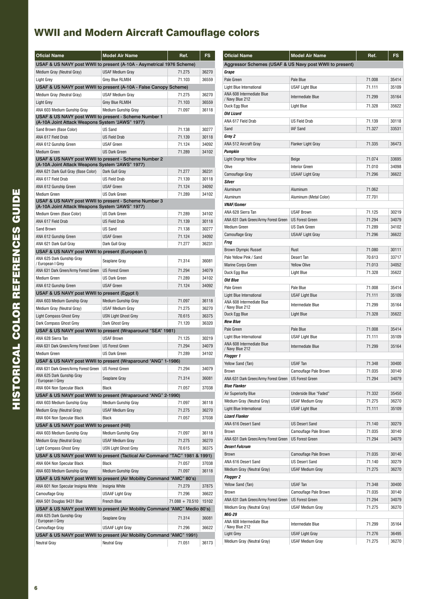| <b>Oficial Name</b>                                                                                      | <b>Model Air Name</b>                                                        | Ref.              | <b>FS</b> |
|----------------------------------------------------------------------------------------------------------|------------------------------------------------------------------------------|-------------------|-----------|
|                                                                                                          | USAF & US NAVY post WWII to present (A-10A - Asymetrical 1976 Scheme)        |                   |           |
| Médium Gray (Neutral Gray)                                                                               | USAF Medium Grav                                                             | 71.275            | 36270     |
| <b>Light Grey</b>                                                                                        | Grey Blue RLM84                                                              | 71.103            | 36559     |
|                                                                                                          | USAF & US NAVY post WWII to present (A-10A - False Canopy Scheme)            |                   |           |
| Médium Gray (Neutral Gray)                                                                               | <b>USAF Medium Gray</b>                                                      | 71.275            | 36270     |
| <b>Light Grey</b>                                                                                        | Grey Blue RLM84                                                              | 71.103            | 36559     |
| ANA 603 Medium Gunship Gray                                                                              | <b>Medium Gunship Gray</b>                                                   | 71.097            | 36118     |
| USAF & US NAVY post WWII to present - Scheme Number 1<br>(A-10A Joint Attack Weapons System "JAWS" 1977) |                                                                              |                   |           |
| Sand Brown (Base Color)                                                                                  | US Sand                                                                      | 71.138            | 30277     |
| ANA 617 Field Drab                                                                                       | <b>US Field Drab</b>                                                         | 71.139            | 30118     |
| ANA 612 Gunship Green                                                                                    | <b>USAF Green</b>                                                            | 71.124            | 34092     |
| Medium Green                                                                                             | <b>US Dark Green</b>                                                         | 71.289            | 34102     |
| USAF & US NAVY post WWII to present - Scheme Number 2                                                    |                                                                              |                   |           |
| (A-10A Joint Attack Weapons System "JAWS" 1977)                                                          |                                                                              |                   |           |
| ANA 621 Dark Gull Gray (Base Color)                                                                      | Dark Gull Gray                                                               | 71.277            | 36231     |
| ANA 617 Field Drab                                                                                       | <b>US Field Drab</b>                                                         | 71.139            | 30118     |
| ANA 612 Gunship Green                                                                                    | <b>USAF Green</b>                                                            | 71.124            | 34092     |
| Medium Green                                                                                             | <b>US Dark Green</b>                                                         | 71.289            | 34102     |
| USAF & US NAVY post WWII to present - Scheme Number 3<br>(A-10A Joint Attack Weapons System "JAWS" 1977) |                                                                              |                   |           |
| Medium Green (Base Color)                                                                                | <b>US Dark Green</b>                                                         | 71.289            | 34102     |
| ANA 617 Field Drab                                                                                       | <b>US Field Drab</b>                                                         | 71.139            | 30118     |
| Sand Brown                                                                                               | <b>US Sand</b>                                                               | 71.138            | 30277     |
| ANA 612 Gunship Green                                                                                    | USAF Green                                                                   | 71.124            | 34092     |
| ANA 621 Dark Gull Grav                                                                                   | Dark Gull Gray                                                               | 71.277            | 36231     |
| USAF & US NAVY post WWII to present (European I)                                                         |                                                                              |                   |           |
| ANA 625 Dark Gunship Gray<br>/ European I Grey                                                           | Seaplane Gray                                                                | 71.314            | 36081     |
| ANA 631 Dark Green/Army Forest Green                                                                     | <b>US Forest Green</b>                                                       | 71.294            | 34079     |
| Medium Green                                                                                             | <b>US Dark Green</b>                                                         | 71.289            | 34102     |
| ANA 612 Gunship Green                                                                                    | <b>USAF Green</b>                                                            | 71.124            | 34092     |
| USAF & US NAVY post WWII to present (Egypt I)                                                            |                                                                              |                   |           |
| ANA 603 Medium Gunship Gray                                                                              | <b>Medium Gunship Gray</b>                                                   | 71.097            | 36118     |
| Médium Gray (Neutral Gray)                                                                               | <b>USAF Medium Gray</b>                                                      | 71.275            | 36270     |
| <b>Light Compass Ghost Grey</b>                                                                          | <b>USN Light Ghost Grey</b>                                                  | 70.615            | 36375     |
| Dark Compass Ghost Grey                                                                                  | Dark Ghost Grey                                                              | 71.120            | 36320     |
|                                                                                                          | USAF & US NAVY post WWII to present (Wraparound "SEA" 1981)                  |                   |           |
| ANA 628 Sierra Tan                                                                                       | <b>USAF Brown</b>                                                            | 71.125            | 30219     |
| ANA 631 Dark Green/Army Forest Green                                                                     | <b>US Forest Green</b>                                                       | 71.294            | 34079     |
| <b>Medium Green</b>                                                                                      | <b>US Dark Green</b>                                                         | 71.289            | 34102     |
|                                                                                                          | USAF & US NAVY post WWII to present (Wraparound "ANG" 1-1986)                |                   |           |
| ANA 631 Dark Green/Army Forest Green   US Forest Green                                                   |                                                                              | 71.294            | 34079     |
| ANA 625 Dark Gunship Gray<br>/ European I Grey                                                           | Seaplane Gray                                                                | 71.314            | 36081     |
| ANA 604 Non Specular Black                                                                               | <b>Black</b>                                                                 | 71.057            | 37038     |
|                                                                                                          | USAF & US NAVY post WWII to present (Wraparound "ANG" 2-1990)                |                   |           |
| ANA 603 Medium Gunship Gray                                                                              | Medium Gunship Gray                                                          | 71.097            | 36118     |
| Medium Gray (Neutral Gray)                                                                               | USAF Medium Gray                                                             | 71.275            | 36270     |
| ANA 604 Non Specular Black                                                                               | <b>Black</b>                                                                 | 71.057            | 37038     |
| USAF & US NAVY post WWII to present (Hill)                                                               |                                                                              |                   |           |
| ANA 603 Medium Gunship Gray                                                                              | Medium Gunship Gray                                                          | 71.097            | 36118     |
| Médium Gray (Neutral Gray)                                                                               | <b>USAF Medium Gray</b>                                                      | 71.275            | 36270     |
| Light Compass Ghost Grey                                                                                 | <b>USN Light Ghost Grey</b>                                                  | 70.615            | 36375     |
|                                                                                                          | USAF & US NAVY post WWII to present (Tactical Air Command "TAC" 1981 & 1991) |                   |           |
| ANA 604 Non Specular Black                                                                               | Black                                                                        | 71.057            | 37038     |
| ANA 603 Medium Gunship Gray                                                                              | Medium Gunship Gray                                                          | 71.097            | 36118     |
|                                                                                                          | USAF & US NAVY post WWII to present (Air Mobility Command "AMC" 80's)        |                   |           |
| ANA 601 Non Specular Insignia White                                                                      | Insignia White                                                               | 71.279            | 37875     |
| Camouflage Gray                                                                                          | <b>USAAF Light Gray</b>                                                      | 71.296            | 36622     |
| ANA 501 Douglas 9431 Blue                                                                                | <b>French Blue</b>                                                           | $71.088 + 70.510$ | 15102     |
|                                                                                                          | USAF & US NAVY post WWII to present (Air Mobility Command "AMC" Medio 80's)  |                   |           |
| ANA 625 Dark Gunship Gray<br>/ European I Grey                                                           | Seaplane Gray                                                                | 71.314            | 36081     |
| Camouflage Gray                                                                                          | <b>USAAF Light Gray</b>                                                      | 71.296            | 36622     |
|                                                                                                          | USAF & US NAVY post WWII to present (Air Mobility Command "AMC" 1991)        |                   |           |
| <b>Neutral Gray</b>                                                                                      | <b>Neutral Gray</b>                                                          | 71.051            | 36173     |

| <b>Oficial Name</b>                                     | <b>Model Air Name</b>     | Ref.   | FS    |
|---------------------------------------------------------|---------------------------|--------|-------|
| Aggressor Schemes (USAF & US Navy post WWII to present) |                           |        |       |
| Grape                                                   |                           |        |       |
| Pale Green                                              | Pale Blue                 | 71.008 | 35414 |
| Light Blue International                                | <b>USAF Light Blue</b>    | 71.111 | 35109 |
| ANA 608 Intermediate Blue<br>/ Navy Blue 212            | Intermediate Blue         | 71.299 | 35164 |
| Duck Egg Blue                                           | Light Blue                | 71.328 | 35622 |
| Old Lizard                                              |                           |        |       |
| ANA 617 Field Drab                                      | <b>US Field Drab</b>      | 71.139 | 30118 |
| Sand                                                    | <b>IAF Sand</b>           | 71.327 | 33531 |
| Grey 2                                                  |                           |        |       |
| ANA 512 Aircraft Gray                                   | <b>Flanker Light Gray</b> | 71.335 | 36473 |
| Pumpkin                                                 |                           |        |       |
| <b>Light Orange Yellow</b>                              | Beige                     | 71.074 | 33695 |
| Olive                                                   | <b>Interior Green</b>     | 71.010 | 34098 |
| Camouflage Gray                                         | <b>USAAF Light Gray</b>   | 71.296 | 36622 |
| Silver                                                  |                           |        |       |
| Aluminum                                                | Aluminum                  | 71.062 |       |
| Aluminum                                                | Aluminum (Metal Color)    | 77.701 |       |
| <i><b>VNAF/Gomer</b></i>                                |                           |        |       |
| ANA 628 Sierra Tan                                      | <b>USAF Brown</b>         | 71.125 | 30219 |
| ANA 631 Dark Green/Army Forest Green                    | <b>US Forest Green</b>    | 71.294 | 34079 |
| Medium Green                                            | <b>US Dark Green</b>      | 71.289 | 34102 |
| Camouflage Gray                                         | <b>USAAF Light Gray</b>   | 71.296 | 36622 |
| Frog                                                    |                           |        |       |
| <b>Brown Olympic Russet</b>                             | Rust                      | 71.080 | 30111 |
| Pale Yellow Pink / Sand                                 | Desert Tan                | 70.613 | 33717 |
| <b>Marine Corps Green</b>                               | <b>Yellow Olive</b>       | 71.013 | 34052 |
| Duck Egg Blue                                           | Light Blue                | 71.328 | 35622 |
| Old Blue                                                |                           |        |       |
| Pale Green                                              | Pale Blue                 | 71.008 | 35414 |
| Light Blue International                                | <b>USAF Light Blue</b>    | 71.111 | 35109 |
| ANA 608 Intermediate Blue<br>/ Navy Blue 212            | Intermediate Blue         | 71.299 | 35164 |
| Duck Egg Blue                                           | Light Blue                | 71.328 | 35622 |
| <b>New Blue</b>                                         |                           |        |       |
| Pale Green                                              | Pale Blue                 | 71.008 | 35414 |
| Light Blue International                                | <b>USAF Light Blue</b>    | 71.111 | 35109 |
| ANA 608 Intermediate Blue<br>/ Navy Blue 212            | Intermediate Blue         | 71.299 | 35164 |
| <b>Flogger 1</b>                                        |                           |        |       |
| Yellow Sand (Tan)                                       | <b>USAF Tan</b>           | 71.348 | 30400 |
| Brown                                                   | Camouflage Pale Brown     | 71.035 | 30140 |
| ANA 631 Dark Green/Army Forest Green                    | <b>US Forest Green</b>    | 71.294 | 34079 |
| <b>Blue Flanker</b>                                     |                           |        |       |
| Air Superiority Blue                                    | Underside Blue "Faded"    | 71.332 | 35450 |
| Médium Gray (Neutral Gray)                              | <b>USAF Medium Gray</b>   | 71.275 | 36270 |
| Light Blue International                                | <b>USAF Light Blue</b>    | 71.111 | 35109 |
| Lizard Flanker                                          |                           |        |       |
| ANA 616 Desert Sand                                     | <b>US Desert Sand</b>     | 71.140 | 30279 |
| Brown                                                   | Camouflage Pale Brown     | 71.035 | 30140 |
| ANA 631 Dark Green/Army Forest Green                    | <b>US Forest Green</b>    | 71.294 | 34079 |
| Desert Fulcrum                                          |                           |        |       |
| Brown                                                   | Camouflage Pale Brown     | 71.035 | 30140 |
| ANA 616 Desert Sand                                     | <b>US Desert Sand</b>     | 71.140 | 30279 |
| Médium Gray (Neutral Gray)                              | <b>USAF Medium Gray</b>   | 71.275 | 36270 |
| Flogger 2                                               |                           |        |       |
| Yellow Sand (Tan)                                       | <b>USAF Tan</b>           | 71.348 | 30400 |
| Brown                                                   | Camouflage Pale Brown     | 71.035 | 30140 |
| ANA 631 Dark Green/Army Forest Green                    | <b>US Forest Green</b>    | 71.294 | 34079 |
| Médium Gray (Neutral Gray)                              | <b>USAF Medium Gray</b>   | 71.275 | 36270 |
| MiG-29                                                  |                           |        |       |
| ANA 608 Intermediate Blue<br>/ Navy Blue 212            | Intermediate Blue         | 71.299 | 35164 |
| Light Grey                                              | <b>USAF Light Gray</b>    | 71.276 | 36495 |
| Médium Gray (Neutral Gray)                              | <b>USAF Medium Gray</b>   | 71.275 | 36270 |
|                                                         |                           |        |       |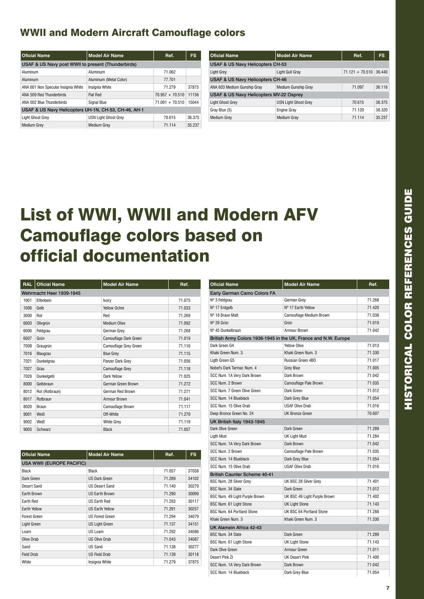| <b>Oficial Name</b>                                  | <b>Model Air Name</b>       | Ref.              | <b>FS</b> |
|------------------------------------------------------|-----------------------------|-------------------|-----------|
| USAF & US Navy post WWII to present (Thunderbirds)   |                             |                   |           |
| Aluminum                                             | Aluminum                    | 71.062            |           |
| Aluminum                                             | Aluminum (Metal Color)      | 77.701            |           |
| ANA 601 Non Specular Insignia White                  | Insignia White              | 71.279            | 37875     |
| ANA 509 Red Thunderbirds                             | Flat Red                    | $70.957 + 70.510$ | 11136     |
| ANA 502 Blue Thunderbirds                            | <b>Signal Blue</b>          | $71.091 + 70.510$ | 15044     |
| USAF & US Navy Helicopters UH-1N, CH-53, CH-46, AH-1 |                             |                   |           |
| Light Ghost Grey                                     | <b>USN Light Ghost Grev</b> | 70.615            | 36.375    |
| <b>Medium Grey</b>                                   | <b>Medium Grav</b>          | 71.114            | 35.237    |

| <b>Oficial Name</b>                     | <b>Model Air Name</b>       | Ref.                     | <b>FS</b> |  |
|-----------------------------------------|-----------------------------|--------------------------|-----------|--|
| USAF & US Navy Helicopters CH-53        |                             |                          |           |  |
| Light Grey                              | Light Gull Gray             | $71.121 + 70.510$ 36.440 |           |  |
| USAF & US Navy Helicopters CH-46        |                             |                          |           |  |
| ANA 603 Medium Gunship Gray             | <b>Medium Gunship Gray</b>  | 71.097                   | 36.118    |  |
| USAF & US Navy Helicopters MV-22 Osprey |                             |                          |           |  |
| <b>Light Ghost Grey</b>                 | <b>USN Light Ghost Grev</b> | 70.615                   | 36.375    |  |
| Gray Blue (5)                           | <b>Engine Gray</b>          | 71.120                   | 36.320    |  |
| <b>Medium Grey</b>                      | <b>Medium Gray</b>          | 71.114                   | 35.237    |  |

## List of WWI, WWII and Modern AFV Camouflage colors based on official documentation

| <b>RAL</b> | <b>Oficial Name</b>      | <b>Model Air Name</b> | Ref.   |
|------------|--------------------------|-----------------------|--------|
|            | Wehrmacht Heer 1939-1945 |                       |        |
| 1001       | Elfenbein                | Ivory                 | 71.075 |
| 1006       | Gelb                     | Yellow Ochre          | 71.033 |
| 3000       | Rot                      | Red                   | 71.269 |
| 6003       | Olivgrün                 | <b>Medium Olive</b>   | 71.092 |
| 6006       | Feldgrau                 | German Grey           | 71.268 |
| 6007       | Grün                     | Camouflage Dark Green | 71.019 |
| 7008       | Graugrün                 | Camouflage Grey Green | 71.116 |
| 7016       | Blaugrau                 | <b>Blue Grey</b>      | 71.115 |
| 7021       | Dunkelgrau               | Panzer Dark Grey      | 71.056 |
| 7027       | Grau                     | Camouflage Grey       | 71.118 |
| 7028       | Dunkelgelb               | Dark Yellow           | 71.025 |
| 8000       | Gelbbraun                | German Green Brown    | 71.272 |
| 8012       | Rot (Rotbraun)           | German Red Brown      | 71.271 |
| 8017       | Rotbraun                 | Armour Brown          | 71.041 |
| 8020       | Braun                    | Camouflage Brown      | 71.117 |
| 9001       | Weiß                     | Off-White             | 71.270 |
| 9002       | Weiß                     | <b>White Grev</b>     | 71.119 |
| 9005       | Schwarz                  | <b>Black</b>          | 71.057 |

| <b>Oficial Name</b>              | <b>Model Air Name</b>  | Ref.   | <b>FS</b> |
|----------------------------------|------------------------|--------|-----------|
| <b>USA WWII (EUROPE PACIFIC)</b> |                        |        |           |
| <b>Black</b>                     | <b>Black</b>           | 71.057 | 37038     |
| Dark Green                       | <b>US Dark Green</b>   | 71.289 | 34102     |
| Desert Sand                      | <b>US Desert Sand</b>  | 71.140 | 30279     |
| Earth Brown                      | <b>US Earth Brown</b>  | 71.290 | 30099     |
| <b>Earth Red</b>                 | <b>US Earth Red</b>    | 71.293 | 30117     |
| <b>Earth Yellow</b>              | <b>US Earth Yellow</b> | 71.291 | 30257     |
| <b>Forest Green</b>              | <b>US Forest Green</b> | 71.294 | 34079     |
| <b>Light Green</b>               | <b>US Light Green</b>  | 71.137 | 34151     |
| Loam                             | US Loam                | 71.292 | 34086     |
| Olive Drab                       | <b>US Olive Drab</b>   | 71.043 | 34087     |
| Sand                             | US Sand                | 71.138 | 30277     |
| <b>Field Drab</b>                | <b>US Field Drab</b>   | 71.139 | 30118     |
| White                            | Insignia White         | 71.279 | 37875     |

| <b>Oficial Name</b>                 | <b>Model Air Name</b>                                           | Ref.   |
|-------------------------------------|-----------------------------------------------------------------|--------|
| Early German Camo Colors FA         |                                                                 |        |
| Nº 3 Feldgrau                       | German Grey                                                     | 71.268 |
| Nº 17 Erdgelb                       | Nº 17 Earth Yellow                                              | 71.420 |
| Nº 18 Braun Matt                    | Camouflage Medium Brown                                         | 71.038 |
| Nº 28 Grün                          | Grün                                                            | 71.019 |
| Nº 45 Dunkelbraun                   | Armour Brown                                                    | 71.042 |
|                                     | British Army Colors 1936-1945 in the UK, France and N.W. Europe |        |
| Dark Green G4                       | <b>Yellow Olive</b>                                             | 71.013 |
| Khaki Green Num. 3                  | Khaki Green Num. 3                                              | 71.330 |
| Ligth Green G5                      | Russian Green 4BO                                               | 71.017 |
| Nobel's Dark Tarmac Num. 4          | <b>Grey Blue</b>                                                | 71.005 |
| SCC Num. 1A Very Dark Brown         | Dark Brown                                                      | 71.042 |
| SCC Num. 2 Brown                    | Camouflage Pale Brown                                           | 71.035 |
| SCC Num. 7 Green Olive Green        | Dark Green                                                      | 71.012 |
| SCC Num. 14 Blueblack               | Dark Grev Blue                                                  | 71.054 |
| SCC Num. 15 Olive Drab              | <b>USAF Olive Drab</b>                                          | 71.016 |
| Deep Bronce Green No. 24            | <b>UK Bronze Green</b>                                          | 70.607 |
| UK British Italy 1943-1945          |                                                                 |        |
| Dark Olive Green                    | Dark Green                                                      | 71.289 |
| Liath Mud                           | UK Light Mud                                                    | 71.284 |
| SCC Num. 1A Very Dark Brown         | Dark Brown                                                      | 71.042 |
| SCC Num. 2 Brown                    | Camouflage Pale Brown                                           | 71.035 |
| SCC Num. 14 Blueblack               | Dark Grey Blue                                                  | 71.054 |
| SCC Num. 15 Olive Drab              | <b>USAF Olive Drab</b>                                          | 71.016 |
| <b>British Caunter Scheme 40-41</b> |                                                                 |        |
| BSC Num. 28 Silver Grev             | UK BSC 28 Silver Grey                                           | 71.401 |
| BSC Num. 34 Slate                   | Dark Green                                                      | 71.012 |
| BSC Num. 49 Light Purple Brown      | UK BSC 49 Light Purple Brown                                    | 71.402 |
| BSC Num. 61 Light Stone             | <b>UK Light Stone</b>                                           | 71.143 |
| BSC Num. 64 Portland Stone          | UK BSC 64 Portland Stone                                        | 71.288 |
| Khaki Green Num. 3                  | Khaki Green Num. 3                                              | 71.330 |
| UK Alamein Africa 42-43             |                                                                 |        |
| BSC Num. 34 Slate                   | Dark Green                                                      | 71.289 |
| BSC Num. 61 Ligth Stone             | <b>UK Light Stone</b>                                           | 71.143 |
| Dark Olive Green                    | Armour Green                                                    | 71.011 |
| Desert Pink ZI                      | <b>UK Desert Pink</b>                                           | 71.400 |
| SCC Num. 1A Very Dark Brown         | Dark Brown                                                      | 71.042 |
| SCC Num. 14 Blueblack               | Dark Grev Blue                                                  | 71.054 |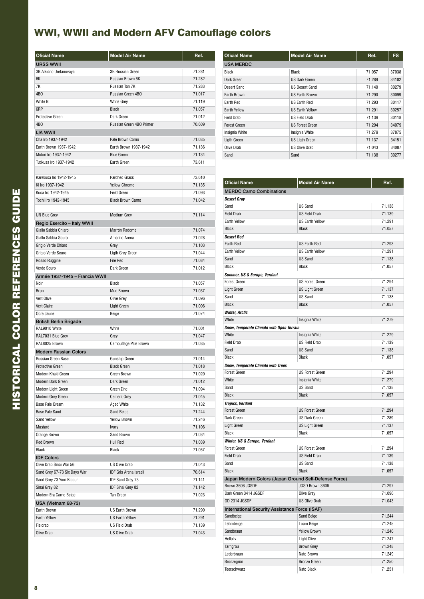### WWI, WWII and Modern AFV Camouflage colors

| <b>Oficial Name</b>            | <b>Model Air Name</b>         | Ref.   |
|--------------------------------|-------------------------------|--------|
| <b>URSS WWII</b>               |                               |        |
| 3B Alkidno Uretanovaya         | <b>3B Russian Green</b>       | 71.281 |
| 6K                             | Russian Brown 6K              | 71.282 |
| 7K                             | Russian Tan 7K                | 71.283 |
| 4B <sub>O</sub>                | Russian Green 4BO             | 71.017 |
| White B                        | <b>White Grey</b>             | 71.119 |
| 6RP                            | <b>Black</b>                  | 71.057 |
| <b>Protective Green</b>        | Dark Green                    | 71.012 |
| 4 <sub>R</sub> O               | Russian Green 4BO Primer      | 70.609 |
| <b>IJA WWII</b>                |                               |        |
| Cha Iro 1937-1942              | Pale Brown Camo               | 71.035 |
| Earth Brown 1937-1942          | Earth Brown 1937-1942         | 71.136 |
| Midori Iro 1937-1942           | <b>Blue Green</b>             | 71.134 |
| Tutikusa Iro 1937-1942         | Earth Green                   | 73.611 |
|                                |                               |        |
| Karekusa Iro 1942-1945         | <b>Parched Grass</b>          | 73.610 |
| Ki Iro 1937-1942               | <b>Yellow Chrome</b>          | 71.135 |
| Kusa Iro 1942-1945             | <b>Field Green</b>            | 71.093 |
| Tochi Iro 1942-1945            | <b>Black Brown Camo</b>       | 71.042 |
|                                |                               |        |
| <b>IJN Blue Grey</b>           | <b>Medium Grey</b>            | 71.114 |
| Regio Esercito - Italy WWII    |                               |        |
| Giallo Sabbia Chiaro           | Marrón Radome                 | 71.074 |
| Giallo Sabbia Scuro            | Amarillo Arena                | 71.028 |
| Grigio Verde Chiaro            | Grey                          | 71.103 |
| Grigio Verde Scuro             | Ligth Grey Green              | 71.044 |
| Rosso Ruggine                  | <b>Fire Red</b>               | 71.084 |
| Verde Scuro                    | Dark Green                    | 71.012 |
| Armée 1937-1945 - Francia WWII |                               |        |
| Noir                           | Black                         | 71.057 |
| <b>Brun</b>                    | Mud Brown                     | 71.037 |
| Vert Olive                     | Olive Grey                    | 71.096 |
| Vert Claire                    | Light Green                   | 71.006 |
| Ocre Jaune                     | Beige                         | 71.074 |
| <b>British Berlin Brigade</b>  |                               |        |
| RAL9010 White                  | White                         | 71.001 |
| RAL7031 Blue Grev              | Grey                          | 71.047 |
| RAL8025 Brown                  | Camouflage Pale Brown         | 71.035 |
| <b>Modern Russian Colors</b>   |                               |        |
| Russian Green Base             | Gunship Green                 | 71.014 |
| <b>Protective Green</b>        | <b>Black Green</b>            | 71.018 |
| Modern Khaki Green             | Green Brown                   | 71.020 |
| Modern Dark Green              | Dark Green                    | 71.012 |
| Modern Light Green             | Green Zinc                    | 71.094 |
| Modern Grey Green              | <b>Cement Grey</b>            | 71.045 |
| <b>Base Pale Cream</b>         | Aged White                    | 71.132 |
| <b>Base Pale Sand</b>          | Sand Beige                    | 71.244 |
| Sand Yellow                    | <b>Yellow Brown</b>           | 71.246 |
| Mustard                        | Ivory                         | 71.106 |
| Orange Brown                   | Sand Brown                    | 71.034 |
| Red Brown                      | Hull Red                      | 71.039 |
| <b>Black</b>                   | <b>Black</b>                  | 71.057 |
| <b>IDF Colors</b>              |                               |        |
| Olive Drab Sinai War 56        | <b>US Olive Drab</b>          | 71.043 |
| Sand Grey 67-73 Six Days War   | <b>IDF Gris Arena Israelí</b> | 70.614 |
| Sand Grey 73 Yom Kippur        | IDF Sand Grey 73              | 71.141 |
| Sinai Grey 82                  | <b>IDF Sinai Grey 82</b>      | 71.142 |
| Modern Era Camo Beige          | Tan Green                     | 71.023 |
| USA (Vietnam 68-73)            |                               |        |
| Earth Brown                    | US Earth Brown                | 71.290 |
| Earth Yellow                   | US Earth Yellow               | 71.291 |
| Fieldrab                       | <b>US Field Drab</b>          | 71.139 |
| Olive Drab                     | <b>US Olive Drab</b>          | 71.043 |

| <b>Oficial Name</b> | <b>Model Air Name</b>  | Ref.   | <b>FS</b> |
|---------------------|------------------------|--------|-----------|
| <b>USA MERDC</b>    |                        |        |           |
| Black               | <b>Black</b>           | 71.057 | 37038     |
| Dark Green          | <b>US Dark Green</b>   | 71.289 | 34102     |
| Desert Sand         | <b>US Desert Sand</b>  | 71.140 | 30279     |
| Earth Brown         | <b>US Earth Brown</b>  | 71.290 | 30099     |
| Earth Red           | <b>US Earth Red</b>    | 71.293 | 30117     |
| <b>Earth Yellow</b> | <b>US Earth Yellow</b> | 71.291 | 30257     |
| Field Drab          | <b>US Field Drab</b>   | 71.139 | 30118     |
| <b>Forest Green</b> | <b>US Forest Green</b> | 71.294 | 34079     |
| Insignia White      | Insignia White         | 71.279 | 37875     |
| Ligth Green         | <b>US Ligth Green</b>  | 71.137 | 34151     |
| Olive Drab          | <b>US Olive Drab</b>   | 71.043 | 34087     |
| Sand                | Sand                   | 71.138 | 30277     |

| <b>Oficial Name</b>                                   | <b>Model Air Name</b>   | Ref.   |  |  |
|-------------------------------------------------------|-------------------------|--------|--|--|
| <b>MERDC Camo Combinations</b>                        |                         |        |  |  |
| Desert Gray                                           |                         |        |  |  |
| Sand                                                  | US Sand                 | 71.138 |  |  |
| <b>Field Drab</b>                                     | <b>US Field Drab</b>    | 71.139 |  |  |
| Farth Yellow                                          | <b>IIS Farth Yellow</b> | 71.291 |  |  |
| <b>Black</b>                                          | <b>Black</b>            | 71.057 |  |  |
| <b>Desert Red</b>                                     |                         |        |  |  |
| Earth Red                                             | US Earth Red            | 71.293 |  |  |
| Earth Yellow                                          | <b>US Earth Yellow</b>  | 71.291 |  |  |
| Sand                                                  | <b>US Sand</b>          | 71.138 |  |  |
| <b>Black</b>                                          | <b>Black</b>            | 71.057 |  |  |
| Summer, US & Europe, Verdant                          |                         |        |  |  |
| <b>Forest Green</b>                                   | <b>US Forest Green</b>  | 71.294 |  |  |
| <b>Light Green</b>                                    | <b>US Light Green</b>   | 71.137 |  |  |
| Sand                                                  | <b>US Sand</b>          | 71.138 |  |  |
| <b>Black</b>                                          | <b>Black</b>            | 71.057 |  |  |
| <b>Winter, Arctic</b>                                 |                         |        |  |  |
| White                                                 | Insignia White          | 71.279 |  |  |
| Snow, Temperate Climate with Open Terrain             |                         |        |  |  |
| White                                                 | Insignia White          | 71.279 |  |  |
| <b>Field Drab</b>                                     | <b>US Field Drab</b>    | 71.139 |  |  |
| Sand                                                  | <b>US Sand</b>          | 71.138 |  |  |
| <b>Black</b>                                          | <b>Black</b>            | 71.057 |  |  |
| <b>Snow, Temperate Climate with Trees</b>             |                         |        |  |  |
| <b>Forest Green</b>                                   | <b>US Forest Green</b>  | 71.294 |  |  |
| White                                                 | Insignia White          | 71.279 |  |  |
| Sand                                                  | <b>US Sand</b>          | 71.138 |  |  |
| <b>Black</b>                                          | <b>Black</b>            | 71.057 |  |  |
| <b>Tropics, Verdant</b>                               |                         |        |  |  |
| <b>Forest Green</b>                                   | <b>US Forest Green</b>  | 71.294 |  |  |
| Dark Green                                            | <b>US Dark Green</b>    | 71.289 |  |  |
| Light Green                                           | <b>US Light Green</b>   | 71.137 |  |  |
| <b>Black</b>                                          | <b>Black</b>            | 71.057 |  |  |
| Winter, US & Europe, Verdant                          |                         |        |  |  |
| <b>Forest Green</b>                                   | <b>US Forest Green</b>  | 71.294 |  |  |
| <b>Field Drab</b>                                     | <b>US Field Drab</b>    | 71.139 |  |  |
| Sand                                                  | <b>US Sand</b>          | 71.138 |  |  |
| <b>Black</b>                                          | <b>Black</b>            | 71.057 |  |  |
| Japan Modern Colors (Japan Ground Self-Defense Force) |                         |        |  |  |
| Brown 3606 JGSDF                                      | JGSD Brown 3606         | 71.297 |  |  |
| Dark Green 3414 JGSDF                                 | Olive Grey              | 71.096 |  |  |
| OD 2314 JGSDF                                         | US Olive Drab           | 71.043 |  |  |
| International Security Assistance Force (ISAF)        |                         |        |  |  |
| Sandbeige                                             | Sand Beige              | 71.244 |  |  |
| Lehmbeige                                             | Loam Beige              | 71.245 |  |  |
| Sandbraun                                             | Yellow Brown            | 71.246 |  |  |
| Helloliv                                              | Light Olive             | 71.247 |  |  |
| Tarngrau                                              | <b>Brown Grey</b>       | 71.248 |  |  |
| Lederbraun                                            | Nato Brown              | 71.249 |  |  |
| Bronzegrün                                            | <b>Bronze Green</b>     | 71.250 |  |  |
| Teerschwarz                                           | Nato Black              | 71.251 |  |  |